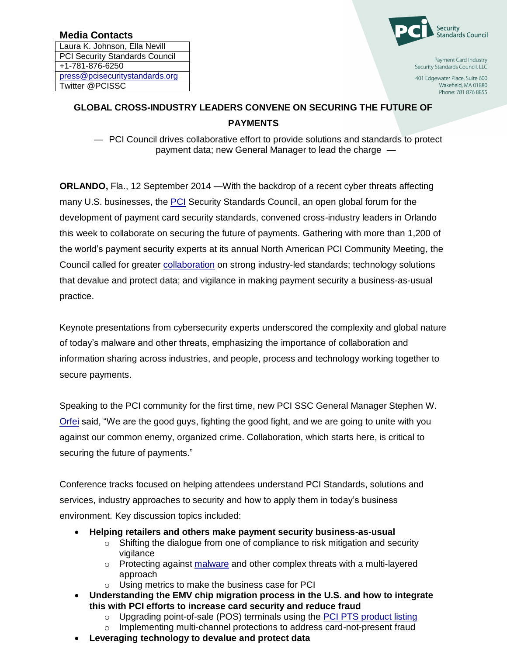## **Media Contacts**

Laura K. Johnson, Ella Nevill PCI Security Standards Council +1-781-876-6250 [press@pcisecuritystandards.org](mailto:press@pcisecuritystandards.org) Twitter @PCISSC



Payment Card Industry Security Standards Council, LLC

401 Edgewater Place, Suite 600 Wakefield, MA 01880 Phone: 781 876 8855

## **GLOBAL CROSS-INDUSTRY LEADERS CONVENE ON SECURING THE FUTURE OF PAYMENTS**

— PCI Council drives collaborative effort to provide solutions and standards to protect payment data; new General Manager to lead the charge —

**ORLANDO, Fla., 12 September 2014 —With the backdrop of a recent cyber threats affecting** many U.S. businesses, the [PCI](https://www.pcisecuritystandards.org/) Security Standards Council, an open global forum for the development of payment card security standards, convened cross-industry leaders in Orlando this week to collaborate on securing the future of payments. Gathering with more than 1,200 of the world's payment security experts at its annual North American PCI Community Meeting, the Council called for greater [collaboration](https://www.pcisecuritystandards.org/pdfs/140909_PCI_SSC_Statement_on_Recent_Data_Breaches.pdf) on strong industry-led standards; technology solutions that devalue and protect data; and vigilance in making payment security a business-as-usual practice.

Keynote presentations from cybersecurity experts underscored the complexity and global nature of today's malware and other threats, emphasizing the importance of collaboration and information sharing across industries, and people, process and technology working together to secure payments.

Speaking to the PCI community for the first time, new PCI SSC General Manager Stephen W. [Orfei](https://www.pcisecuritystandards.org/pdfs/140624_New_PCI_SSC_GM_press_release.pdf) said, "We are the good guys, fighting the good fight, and we are going to unite with you against our common enemy, organized crime. Collaboration, which starts here, is critical to securing the future of payments."

Conference tracks focused on helping attendees understand PCI Standards, solutions and services, industry approaches to security and how to apply them in today's business environment. Key discussion topics included:

- **Helping retailers and others make payment security business-as-usual**
	- $\circ$  Shifting the dialogue from one of compliance to risk mitigation and security vigilance
	- o Protecting against [malware](https://www.pcisecuritystandards.org/pdfs/140827_PCI_SSC_Statement_on_Malware_Related_to_Recent_Breach_Incidents.pdf) and other complex threats with a multi-layered approach
	- o Using metrics to make the business case for PCI
- **Understanding the EMV chip migration process in the U.S. and how to integrate this with PCI efforts to increase card security and reduce fraud**
	- $\circ$  Upgrading point-of-sale (POS) terminals using the [PCI PTS product listing](https://www.pcisecuritystandards.org/approved_companies_providers/approved_pin_transaction_security.php)
	- o Implementing multi-channel protections to address card-not-present fraud
- **Leveraging technology to devalue and protect data**